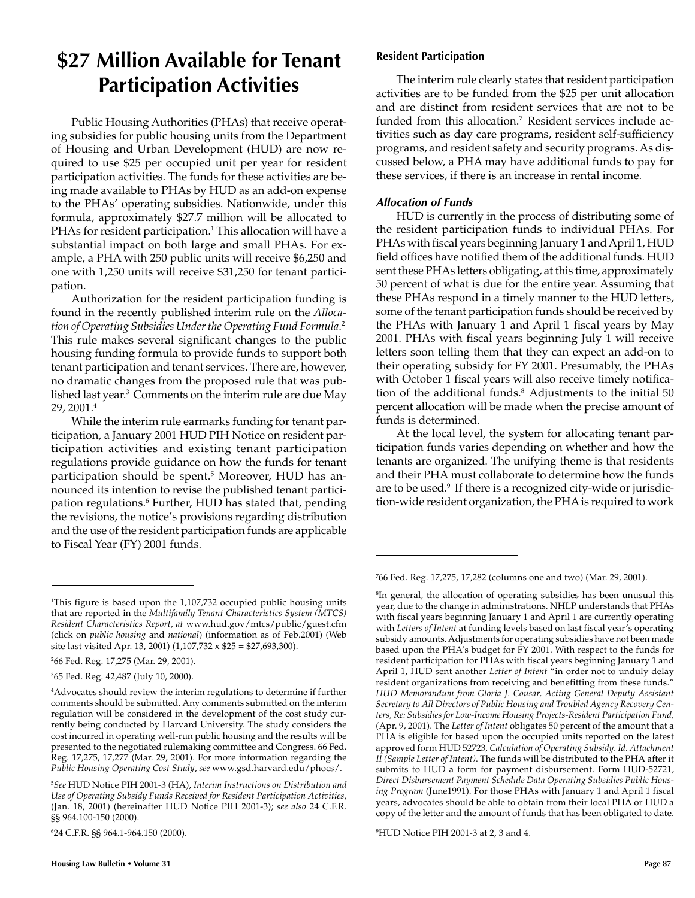## **\$27 Million Available for Tenant Participation Activities**

Public Housing Authorities (PHAs) that receive operating subsidies for public housing units from the Department of Housing and Urban Development (HUD) are now required to use \$25 per occupied unit per year for resident participation activities. The funds for these activities are being made available to PHAs by HUD as an add-on expense to the PHAs' operating subsidies. Nationwide, under this formula, approximately \$27.7 million will be allocated to PHAs for resident participation.<sup>1</sup> This allocation will have a substantial impact on both large and small PHAs. For example, a PHA with 250 public units will receive \$6,250 and one with 1,250 units will receive \$31,250 for tenant participation.

Authorization for the resident participation funding is found in the recently published interim rule on the *Allocation of Operating Subsidies Under the Operating Fund Formula*. 2 This rule makes several significant changes to the public housing funding formula to provide funds to support both tenant participation and tenant services. There are, however, no dramatic changes from the proposed rule that was published last year.<sup>3</sup> Comments on the interim rule are due May 29, 2001.4

While the interim rule earmarks funding for tenant participation, a January 2001 HUD PIH Notice on resident participation activities and existing tenant participation regulations provide guidance on how the funds for tenant participation should be spent.5 Moreover, HUD has announced its intention to revise the published tenant participation regulations.<sup>6</sup> Further, HUD has stated that, pending the revisions, the notice's provisions regarding distribution and the use of the resident participation funds are applicable to Fiscal Year (FY) 2001 funds.

6 24 C.F.R. §§ 964.1-964.150 (2000).

### **Resident Participation**

The interim rule clearly states that resident participation activities are to be funded from the \$25 per unit allocation and are distinct from resident services that are not to be funded from this allocation.<sup>7</sup> Resident services include activities such as day care programs, resident self-sufficiency programs, and resident safety and security programs. As discussed below, a PHA may have additional funds to pay for these services, if there is an increase in rental income.

## **Allocation of Funds**

HUD is currently in the process of distributing some of the resident participation funds to individual PHAs. For PHAs with fiscal years beginning January 1 and April 1, HUD field offices have notified them of the additional funds. HUD sent these PHAs letters obligating, at this time, approximately 50 percent of what is due for the entire year. Assuming that these PHAs respond in a timely manner to the HUD letters, some of the tenant participation funds should be received by the PHAs with January 1 and April 1 fiscal years by May 2001. PHAs with fiscal years beginning July 1 will receive letters soon telling them that they can expect an add-on to their operating subsidy for FY 2001. Presumably, the PHAs with October 1 fiscal years will also receive timely notification of the additional funds.<sup>8</sup> Adjustments to the initial 50 percent allocation will be made when the precise amount of funds is determined.

At the local level, the system for allocating tenant participation funds varies depending on whether and how the tenants are organized. The unifying theme is that residents and their PHA must collaborate to determine how the funds are to be used.<sup>9</sup> If there is a recognized city-wide or jurisdiction-wide resident organization, the PHA is required to work

 ${}^{\rm s}$ In general, the allocation of operating subsidies has been unusual this year, due to the change in administrations. NHLP understands that PHAs with fiscal years beginning January 1 and April 1 are currently operating with *Letters of Intent* at funding levels based on last fiscal year's operating subsidy amounts. Adjustments for operating subsidies have not been made based upon the PHA's budget for FY 2001. With respect to the funds for resident participation for PHAs with fiscal years beginning January 1 and April 1, HUD sent another *Letter of Intent* "in order not to unduly delay resident organizations from receiving and benefitting from these funds." *HUD Memorandum from Gloria J. Cousar, Acting General Deputy Assistant Secretary to All Directors of Public Housing and Troubled Agency Recovery Centers, Re: Subsidies for Low-Income Housing Projects-Resident Participation Fund,* (Apr. 9, 2001). The *Letter of Intent* obligates 50 percent of the amount that a PHA is eligible for based upon the occupied units reported on the latest approved form HUD 52723*, Calculation of Operating Subsidy*. *Id*. *Attachment II (Sample Letter of Intent)*. The funds will be distributed to the PHA after it submits to HUD a form for payment disbursement. Form HUD-52721, *Direct Disbursement Payment Schedule Data Operating Subsidies Public Housing Program* (June1991). For those PHAs with January 1 and April 1 fiscal years, advocates should be able to obtain from their local PHA or HUD a copy of the letter and the amount of funds that has been obligated to date.

9 HUD Notice PIH 2001-3 at 2, 3 and 4.

<sup>1</sup> This figure is based upon the 1,107,732 occupied public housing units that are reported in the *Multifamily Tenant Characteristics System (MTCS) Resident Characteristics Report*, *at* www.hud.gov/mtcs/public/guest.cfm (click on *public housing* and *national*) (information as of Feb.2001) (Web site last visited Apr. 13, 2001) (1,107,732 x \$25 = \$27,693,300).

<sup>2</sup> 66 Fed. Reg. 17,275 (Mar. 29, 2001).

<sup>3</sup> 65 Fed. Reg. 42,487 (July 10, 2000).

<sup>4</sup> Advocates should review the interim regulations to determine if further comments should be submitted. Any comments submitted on the interim regulation will be considered in the development of the cost study currently being conducted by Harvard University. The study considers the cost incurred in operating well-run public housing and the results will be presented to the negotiated rulemaking committee and Congress. 66 Fed. Reg. 17,275, 17,277 (Mar. 29, 2001). For more information regarding the *Public Housing Operating Cost Study*, *see* www.gsd.harvard.edu/phocs/.

<sup>5</sup> *See* HUD Notice PIH 2001-3 (HA), *Interim Instructions on Distribution and Use of Operating Subsidy Funds Received for Resident Participation Activities*, (Jan. 18, 2001) (hereinafter HUD Notice PIH 2001-3); *see also* 24 C.F.R. §§ 964.100-150 (2000).

<sup>7</sup> 66 Fed. Reg. 17,275, 17,282 (columns one and two) (Mar. 29, 2001).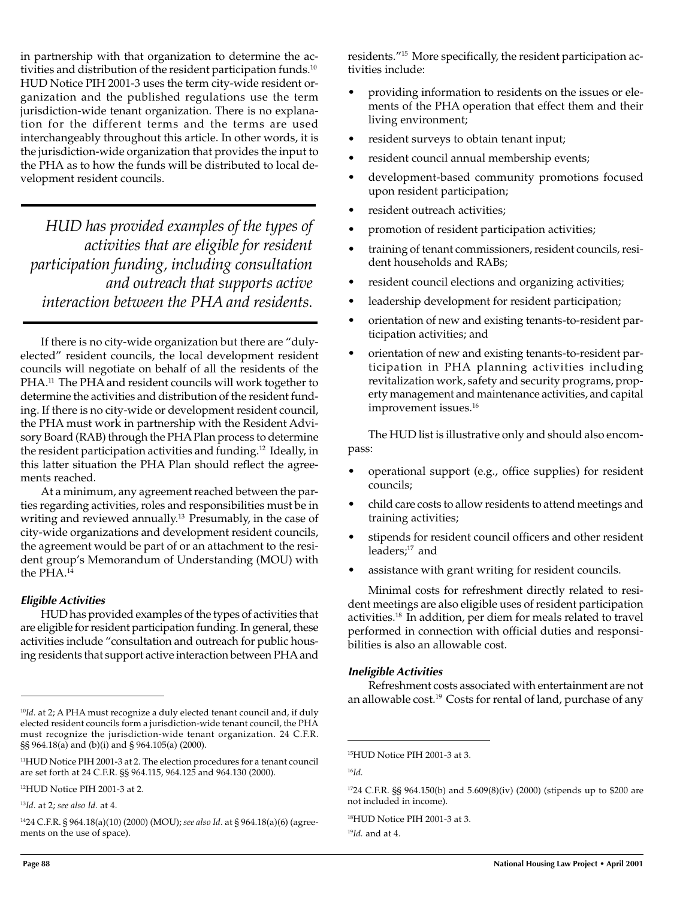in partnership with that organization to determine the activities and distribution of the resident participation funds.<sup>10</sup> HUD Notice PIH 2001-3 uses the term city-wide resident organization and the published regulations use the term jurisdiction-wide tenant organization. There is no explanation for the different terms and the terms are used interchangeably throughout this article. In other words, it is the jurisdiction-wide organization that provides the input to the PHA as to how the funds will be distributed to local development resident councils.

*HUD has provided examples of the types of activities that are eligible for resident participation funding, including consultation and outreach that supports active interaction between the PHA and residents.*

If there is no city-wide organization but there are "dulyelected" resident councils, the local development resident councils will negotiate on behalf of all the residents of the PHA.<sup>11</sup> The PHA and resident councils will work together to determine the activities and distribution of the resident funding. If there is no city-wide or development resident council, the PHA must work in partnership with the Resident Advisory Board (RAB) through the PHA Plan process to determine the resident participation activities and funding.12 Ideally, in this latter situation the PHA Plan should reflect the agreements reached.

At a minimum, any agreement reached between the parties regarding activities, roles and responsibilities must be in writing and reviewed annually.<sup>13</sup> Presumably, in the case of city-wide organizations and development resident councils, the agreement would be part of or an attachment to the resident group's Memorandum of Understanding (MOU) with the PHA.<sup>14</sup>

#### **Eligible Activities**

HUD has provided examples of the types of activities that are eligible for resident participation funding. In general, these activities include "consultation and outreach for public housing residents that support active interaction between PHA and residents."15 More specifically, the resident participation activities include:

- providing information to residents on the issues or elements of the PHA operation that effect them and their living environment;
- resident surveys to obtain tenant input;
- resident council annual membership events;
- development-based community promotions focused upon resident participation;
- resident outreach activities;
- promotion of resident participation activities;
- training of tenant commissioners, resident councils, resident households and RABs;
- resident council elections and organizing activities;
- leadership development for resident participation;
- orientation of new and existing tenants-to-resident participation activities; and
- orientation of new and existing tenants-to-resident participation in PHA planning activities including revitalization work, safety and security programs, property management and maintenance activities, and capital improvement issues.<sup>16</sup>

The HUD list is illustrative only and should also encompass:

- operational support (e.g., office supplies) for resident councils;
- child care costs to allow residents to attend meetings and training activities;
- stipends for resident council officers and other resident leaders:<sup>17</sup> and
- assistance with grant writing for resident councils.

Minimal costs for refreshment directly related to resident meetings are also eligible uses of resident participation activities.18 In addition, per diem for meals related to travel performed in connection with official duties and responsibilities is also an allowable cost.

#### **Ineligible Activities**

Refreshment costs associated with entertainment are not an allowable cost.<sup>19</sup> Costs for rental of land, purchase of any

19*Id.* and at 4.

<sup>&</sup>lt;sup>10</sup>Id. at 2; A PHA must recognize a duly elected tenant council and, if duly elected resident councils form a jurisdiction-wide tenant council, the PHA must recognize the jurisdiction-wide tenant organization. 24 C.F.R. §§ 964.18(a) and (b)(i) and § 964.105(a) (2000).

<sup>11</sup>HUD Notice PIH 2001-3 at 2. The election procedures for a tenant council are set forth at 24 C.F.R. §§ 964.115, 964.125 and 964.130 (2000).

<sup>12</sup>HUD Notice PIH 2001-3 at 2.

<sup>13</sup>*Id.* at 2; *see also Id.* at 4.

<sup>1424</sup> C.F.R. § 964.18(a)(10) (2000) (MOU); *see also Id*. at § 964.18(a)(6) (agreements on the use of space).

<sup>15</sup>HUD Notice PIH 2001-3 at 3.

<sup>16</sup>*Id.*

<sup>1724</sup> C.F.R. §§ 964.150(b) and 5.609(8)(iv) (2000) (stipends up to \$200 are not included in income).

<sup>18</sup>HUD Notice PIH 2001-3 at 3.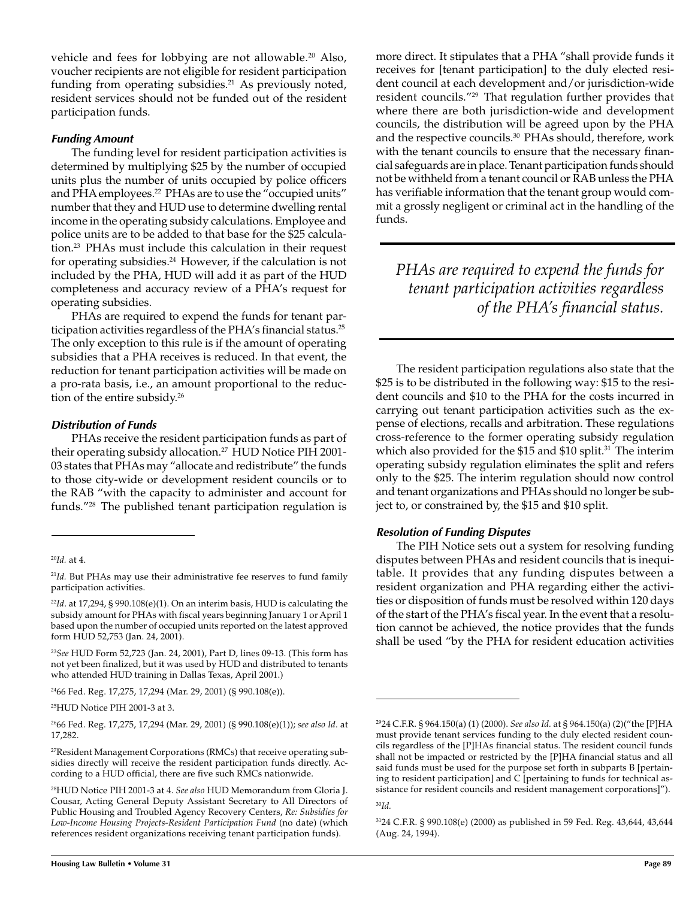vehicle and fees for lobbying are not allowable.<sup>20</sup> Also, voucher recipients are not eligible for resident participation funding from operating subsidies. $21$  As previously noted, resident services should not be funded out of the resident participation funds.

#### **Funding Amount**

The funding level for resident participation activities is determined by multiplying \$25 by the number of occupied units plus the number of units occupied by police officers and PHA employees.<sup>22</sup> PHAs are to use the "occupied units" number that they and HUD use to determine dwelling rental income in the operating subsidy calculations. Employee and police units are to be added to that base for the \$25 calculation.23 PHAs must include this calculation in their request for operating subsidies.<sup>24</sup> However, if the calculation is not included by the PHA, HUD will add it as part of the HUD completeness and accuracy review of a PHA's request for operating subsidies.

PHAs are required to expend the funds for tenant participation activities regardless of the PHA's financial status.<sup>25</sup> The only exception to this rule is if the amount of operating subsidies that a PHA receives is reduced. In that event, the reduction for tenant participation activities will be made on a pro-rata basis, i.e., an amount proportional to the reduction of the entire subsidy.<sup>26</sup>

#### **Distribution of Funds**

PHAs receive the resident participation funds as part of their operating subsidy allocation.<sup>27</sup> HUD Notice PIH 2001-03 states that PHAs may "allocate and redistribute" the funds to those city-wide or development resident councils or to the RAB "with the capacity to administer and account for funds."28 The published tenant participation regulation is

<sup>24</sup>66 Fed. Reg. 17,275, 17,294 (Mar. 29, 2001) (§ 990.108(e)).

25HUD Notice PIH 2001-3 at 3.

2666 Fed. Reg. 17,275, 17,294 (Mar. 29, 2001) (§ 990.108(e)(1)); *see also Id*. at 17,282.

more direct. It stipulates that a PHA "shall provide funds it receives for [tenant participation] to the duly elected resident council at each development and/or jurisdiction-wide resident councils."29 That regulation further provides that where there are both jurisdiction-wide and development councils, the distribution will be agreed upon by the PHA and the respective councils.30 PHAs should, therefore, work with the tenant councils to ensure that the necessary financial safeguards are in place. Tenant participation funds should not be withheld from a tenant council or RAB unless the PHA has verifiable information that the tenant group would commit a grossly negligent or criminal act in the handling of the funds.

*PHAs are required to expend the funds for tenant participation activities regardless of the PHA's financial status.*

The resident participation regulations also state that the \$25 is to be distributed in the following way: \$15 to the resident councils and \$10 to the PHA for the costs incurred in carrying out tenant participation activities such as the expense of elections, recalls and arbitration. These regulations cross-reference to the former operating subsidy regulation which also provided for the \$15 and \$10 split.<sup>31</sup> The interim operating subsidy regulation eliminates the split and refers only to the \$25. The interim regulation should now control and tenant organizations and PHAs should no longer be subject to, or constrained by, the \$15 and \$10 split.

#### **Resolution of Funding Disputes**

The PIH Notice sets out a system for resolving funding disputes between PHAs and resident councils that is inequitable. It provides that any funding disputes between a resident organization and PHA regarding either the activities or disposition of funds must be resolved within 120 days of the start of the PHA's fiscal year. In the event that a resolution cannot be achieved, the notice provides that the funds shall be used "by the PHA for resident education activities

<sup>30</sup>*Id.*

<sup>20</sup>*Id.* at 4.

<sup>&</sup>lt;sup>21</sup>Id. But PHAs may use their administrative fee reserves to fund family participation activities.

<sup>22</sup>*Id*. at 17,294, § 990.108(e)(1). On an interim basis, HUD is calculating the subsidy amount for PHAs with fiscal years beginning January 1 or April 1 based upon the number of occupied units reported on the latest approved form HUD 52,753 (Jan. 24, 2001).

<sup>23</sup>*See* HUD Form 52,723 (Jan. 24, 2001), Part D, lines 09-13. (This form has not yet been finalized, but it was used by HUD and distributed to tenants who attended HUD training in Dallas Texas, April 2001.)

<sup>&</sup>lt;sup>27</sup>Resident Management Corporations (RMCs) that receive operating subsidies directly will receive the resident participation funds directly. According to a HUD official, there are five such RMCs nationwide.

<sup>28</sup>HUD Notice PIH 2001-3 at 4. *See also* HUD Memorandum from Gloria J. Cousar, Acting General Deputy Assistant Secretary to All Directors of Public Housing and Troubled Agency Recovery Centers, *Re: Subsidies for Low-Income Housing Projects-Resident Participation Fund* (no date) (which references resident organizations receiving tenant participation funds).

<sup>2924</sup> C.F.R. § 964.150(a) (1) (2000). *See also Id.* at § 964.150(a) (2)("the [P]HA must provide tenant services funding to the duly elected resident councils regardless of the [P]HAs financial status. The resident council funds shall not be impacted or restricted by the [P]HA financial status and all said funds must be used for the purpose set forth in subparts B [pertaining to resident participation] and C [pertaining to funds for technical assistance for resident councils and resident management corporations]").

<sup>3124</sup> C.F.R. § 990.108(e) (2000) as published in 59 Fed. Reg. 43,644, 43,644 (Aug. 24, 1994).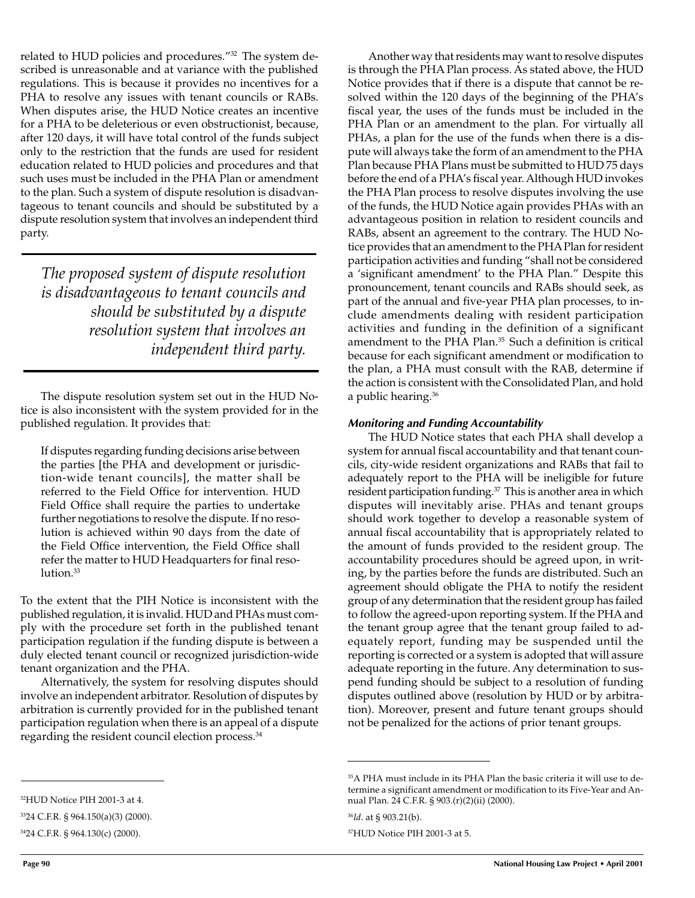related to HUD policies and procedures."<sup>32</sup> The system described is unreasonable and at variance with the published regulations. This is because it provides no incentives for a PHA to resolve any issues with tenant councils or RABs. When disputes arise, the HUD Notice creates an incentive for a PHA to be deleterious or even obstructionist, because, after 120 days, it will have total control of the funds subject only to the restriction that the funds are used for resident education related to HUD policies and procedures and that such uses must be included in the PHA Plan or amendment to the plan. Such a system of dispute resolution is disadvantageous to tenant councils and should be substituted by a dispute resolution system that involves an independent third party.

*The proposed system of dispute resolution is disadvantageous to tenant councils and should be substituted by a dispute resolution system that involves an independent third party.*

The dispute resolution system set out in the HUD Notice is also inconsistent with the system provided for in the published regulation. It provides that:

If disputes regarding funding decisions arise between the parties [the PHA and development or jurisdiction-wide tenant councils], the matter shall be referred to the Field Office for intervention. HUD Field Office shall require the parties to undertake further negotiations to resolve the dispute. If no resolution is achieved within 90 days from the date of the Field Office intervention, the Field Office shall refer the matter to HUD Headquarters for final resolution.<sup>33</sup>

To the extent that the PIH Notice is inconsistent with the published regulation, it is invalid. HUD and PHAs must comply with the procedure set forth in the published tenant participation regulation if the funding dispute is between a duly elected tenant council or recognized jurisdiction-wide tenant organization and the PHA.

Alternatively, the system for resolving disputes should involve an independent arbitrator. Resolution of disputes by arbitration is currently provided for in the published tenant participation regulation when there is an appeal of a dispute regarding the resident council election process.<sup>34</sup>

## **Monitoring and Funding Accountability**

The HUD Notice states that each PHA shall develop a system for annual fiscal accountability and that tenant councils, city-wide resident organizations and RABs that fail to adequately report to the PHA will be ineligible for future resident participation funding.<sup>37</sup> This is another area in which disputes will inevitably arise. PHAs and tenant groups should work together to develop a reasonable system of annual fiscal accountability that is appropriately related to the amount of funds provided to the resident group. The accountability procedures should be agreed upon, in writing, by the parties before the funds are distributed. Such an agreement should obligate the PHA to notify the resident group of any determination that the resident group has failed to follow the agreed-upon reporting system. If the PHA and the tenant group agree that the tenant group failed to adequately report, funding may be suspended until the reporting is corrected or a system is adopted that will assure adequate reporting in the future. Any determination to suspend funding should be subject to a resolution of funding disputes outlined above (resolution by HUD or by arbitration). Moreover, present and future tenant groups should not be penalized for the actions of prior tenant groups.

Another way that residents may want to resolve disputes is through the PHA Plan process. As stated above, the HUD Notice provides that if there is a dispute that cannot be resolved within the 120 days of the beginning of the PHA's fiscal year, the uses of the funds must be included in the PHA Plan or an amendment to the plan. For virtually all PHAs, a plan for the use of the funds when there is a dispute will always take the form of an amendment to the PHA Plan because PHA Plans must be submitted to HUD 75 days before the end of a PHA's fiscal year. Although HUD invokes the PHA Plan process to resolve disputes involving the use of the funds, the HUD Notice again provides PHAs with an advantageous position in relation to resident councils and RABs, absent an agreement to the contrary. The HUD Notice provides that an amendment to the PHA Plan for resident participation activities and funding "shall not be considered a 'significant amendment' to the PHA Plan." Despite this pronouncement, tenant councils and RABs should seek, as part of the annual and five-year PHA plan processes, to include amendments dealing with resident participation activities and funding in the definition of a significant amendment to the PHA Plan.<sup>35</sup> Such a definition is critical because for each significant amendment or modification to the plan, a PHA must consult with the RAB, determine if the action is consistent with the Consolidated Plan, and hold a public hearing.36

<sup>&</sup>lt;sup>35</sup>A PHA must include in its PHA Plan the basic criteria it will use to determine a significant amendment or modification to its Five-Year and Annual Plan. 24 C.F.R. § 903.(r)(2)(ii) (2000).

<sup>36</sup>*Id*. at § 903.21(b).

<sup>37</sup>HUD Notice PIH 2001-3 at 5.

<sup>3324</sup> C.F.R. § 964.150(a)(3) (2000).

<sup>3424</sup> C.F.R. § 964.130(c) (2000).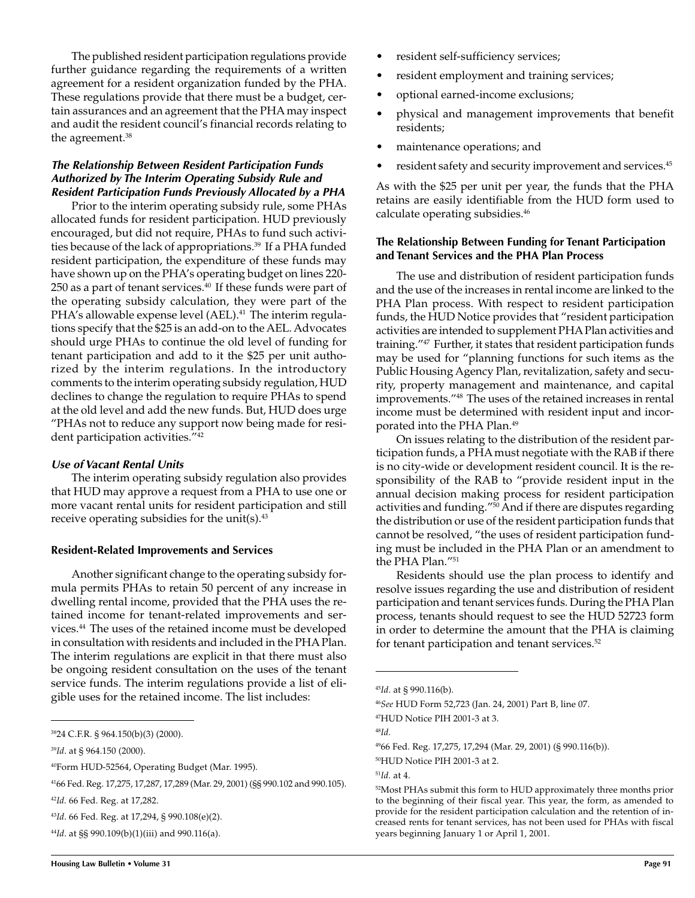The published resident participation regulations provide further guidance regarding the requirements of a written agreement for a resident organization funded by the PHA. These regulations provide that there must be a budget, certain assurances and an agreement that the PHA may inspect and audit the resident council's financial records relating to the agreement.<sup>38</sup>

### **The Relationship Between Resident Participation Funds Authorized by The Interim Operating Subsidy Rule and Resident Participation Funds Previously Allocated by a PHA**

Prior to the interim operating subsidy rule, some PHAs allocated funds for resident participation. HUD previously encouraged, but did not require, PHAs to fund such activities because of the lack of appropriations.<sup>39</sup> If a PHA funded resident participation, the expenditure of these funds may have shown up on the PHA's operating budget on lines 220- 250 as a part of tenant services. $40$  If these funds were part of the operating subsidy calculation, they were part of the PHA's allowable expense level (AEL).<sup>41</sup> The interim regulations specify that the \$25 is an add-on to the AEL. Advocates should urge PHAs to continue the old level of funding for tenant participation and add to it the \$25 per unit authorized by the interim regulations. In the introductory comments to the interim operating subsidy regulation, HUD declines to change the regulation to require PHAs to spend at the old level and add the new funds. But, HUD does urge "PHAs not to reduce any support now being made for resident participation activities."42

#### **Use of Vacant Rental Units**

The interim operating subsidy regulation also provides that HUD may approve a request from a PHA to use one or more vacant rental units for resident participation and still receive operating subsidies for the unit(s). $43$ 

#### **Resident-Related Improvements and Services**

Another significant change to the operating subsidy formula permits PHAs to retain 50 percent of any increase in dwelling rental income, provided that the PHA uses the retained income for tenant-related improvements and services.44 The uses of the retained income must be developed in consultation with residents and included in the PHA Plan. The interim regulations are explicit in that there must also be ongoing resident consultation on the uses of the tenant service funds. The interim regulations provide a list of eligible uses for the retained income. The list includes:

<sup>44</sup>*Id*. at §§ 990.109(b)(1)(iii) and 990.116(a).

- resident self-sufficiency services;
- resident employment and training services;
- optional earned-income exclusions;
- physical and management improvements that benefit residents;
- maintenance operations; and
- resident safety and security improvement and services.<sup>45</sup>

As with the \$25 per unit per year, the funds that the PHA retains are easily identifiable from the HUD form used to calculate operating subsidies.46

#### **The Relationship Between Funding for Tenant Participation and Tenant Services and the PHA Plan Process**

The use and distribution of resident participation funds and the use of the increases in rental income are linked to the PHA Plan process. With respect to resident participation funds, the HUD Notice provides that "resident participation activities are intended to supplement PHA Plan activities and training."47 Further, it states that resident participation funds may be used for "planning functions for such items as the Public Housing Agency Plan, revitalization, safety and security, property management and maintenance, and capital improvements."48 The uses of the retained increases in rental income must be determined with resident input and incorporated into the PHA Plan.49

On issues relating to the distribution of the resident participation funds, a PHA must negotiate with the RAB if there is no city-wide or development resident council. It is the responsibility of the RAB to "provide resident input in the annual decision making process for resident participation activities and funding."50 And if there are disputes regarding the distribution or use of the resident participation funds that cannot be resolved, "the uses of resident participation funding must be included in the PHA Plan or an amendment to the PHA Plan."51

Residents should use the plan process to identify and resolve issues regarding the use and distribution of resident participation and tenant services funds. During the PHA Plan process, tenants should request to see the HUD 52723 form in order to determine the amount that the PHA is claiming for tenant participation and tenant services.<sup>52</sup>

<sup>48</sup>*Id.*

<sup>3824</sup> C.F.R. § 964.150(b)(3) (2000).

<sup>39</sup>*Id*. at § 964.150 (2000).

<sup>40</sup>Form HUD-52564, Operating Budget (Mar. 1995).

<sup>4166</sup> Fed. Reg. 17,275, 17,287, 17,289 (Mar. 29, 2001) (§§ 990.102 and 990.105).

<sup>42</sup>*Id.* 66 Fed. Reg. at 17,282.

<sup>43</sup>*Id*. 66 Fed. Reg. at 17,294, § 990.108(e)(2).

<sup>45</sup>*Id*. at § 990.116(b).

<sup>46</sup>*See* HUD Form 52,723 (Jan. 24, 2001) Part B, line 07.

<sup>47</sup>HUD Notice PIH 2001-3 at 3.

<sup>4966</sup> Fed. Reg. 17,275, 17,294 (Mar. 29, 2001) (§ 990.116(b)).

<sup>50</sup>HUD Notice PIH 2001-3 at 2.

<sup>51</sup>*Id.* at 4.

<sup>52</sup>Most PHAs submit this form to HUD approximately three months prior to the beginning of their fiscal year. This year, the form, as amended to provide for the resident participation calculation and the retention of increased rents for tenant services, has not been used for PHAs with fiscal years beginning January 1 or April 1, 2001.